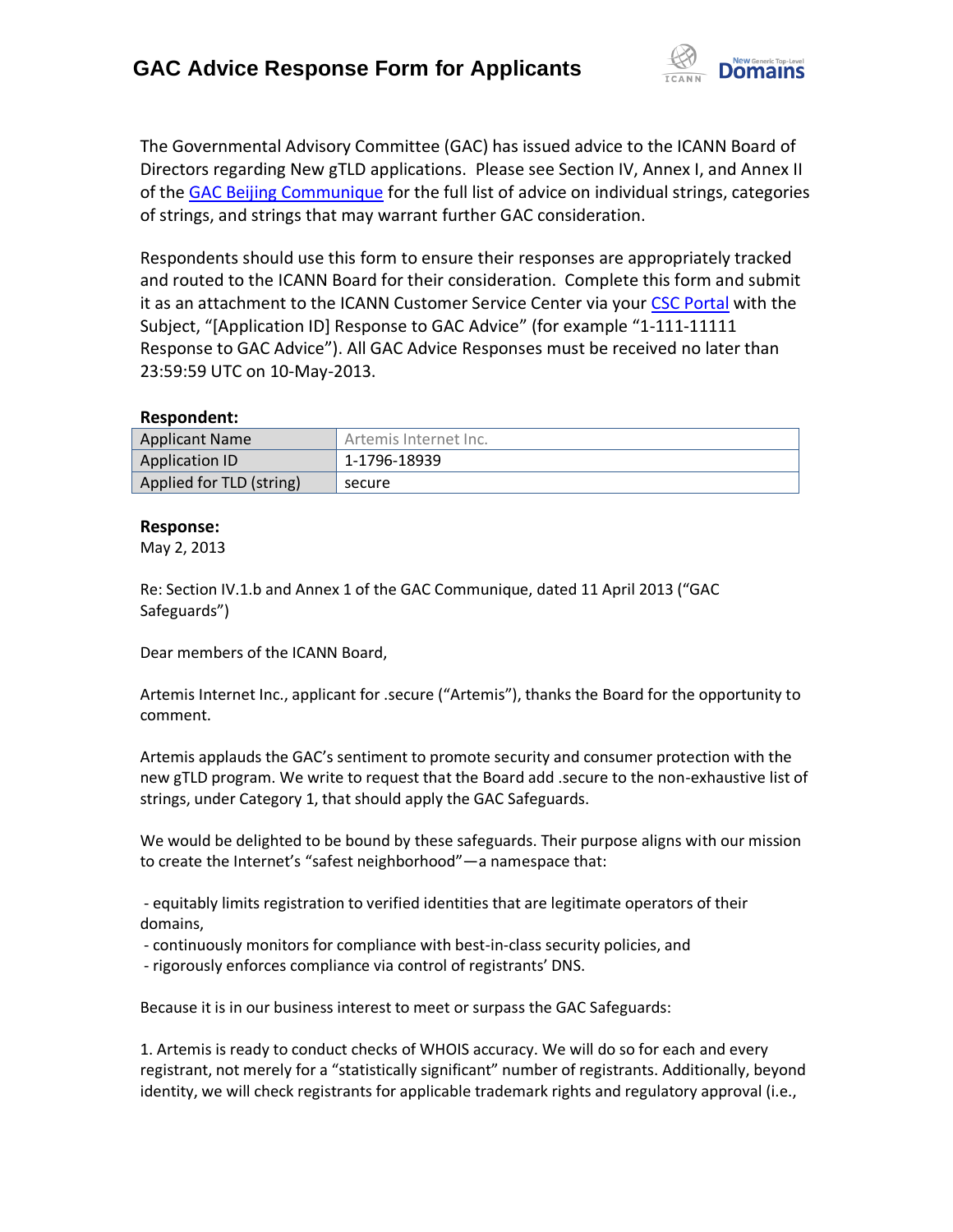

The Governmental Advisory Committee (GAC) has issued advice to the ICANN Board of Directors regarding New gTLD applications. Please see Section IV, Annex I, and Annex II of the [GAC Beijing Communique](http://www.icann.org/en/news/correspondence/gac-to-board-18apr13-en.pdf) for the full list of advice on individual strings, categories of strings, and strings that may warrant further GAC consideration.

Respondents should use this form to ensure their responses are appropriately tracked and routed to the ICANN Board for their consideration. Complete this form and submit it as an attachment to the ICANN Customer Service Center via your CSC [Portal](https://myicann.secure.force.com/) with the Subject, "[Application ID] Response to GAC Advice" (for example "1-111-11111 Response to GAC Advice"). All GAC Advice Responses must be received no later than 23:59:59 UTC on 10-May-2013.

## **Respondent:**

| <b>Applicant Name</b>    | Artemis Internet Inc. |
|--------------------------|-----------------------|
| Application ID           | 1-1796-18939          |
| Applied for TLD (string) | secure                |

## **Response:**

May 2, 2013

Re: Section IV.1.b and Annex 1 of the GAC Communique, dated 11 April 2013 ("GAC Safeguards")

Dear members of the ICANN Board,

Artemis Internet Inc., applicant for .secure ("Artemis"), thanks the Board for the opportunity to comment.

Artemis applauds the GAC's sentiment to promote security and consumer protection with the new gTLD program. We write to request that the Board add .secure to the non-exhaustive list of strings, under Category 1, that should apply the GAC Safeguards.

We would be delighted to be bound by these safeguards. Their purpose aligns with our mission to create the Internet's "safest neighborhood"—a namespace that:

- equitably limits registration to verified identities that are legitimate operators of their domains,

- continuously monitors for compliance with best-in-class security policies, and

- rigorously enforces compliance via control of registrants' DNS.

Because it is in our business interest to meet or surpass the GAC Safeguards:

1. Artemis is ready to conduct checks of WHOIS accuracy. We will do so for each and every registrant, not merely for a "statistically significant" number of registrants. Additionally, beyond identity, we will check registrants for applicable trademark rights and regulatory approval (i.e.,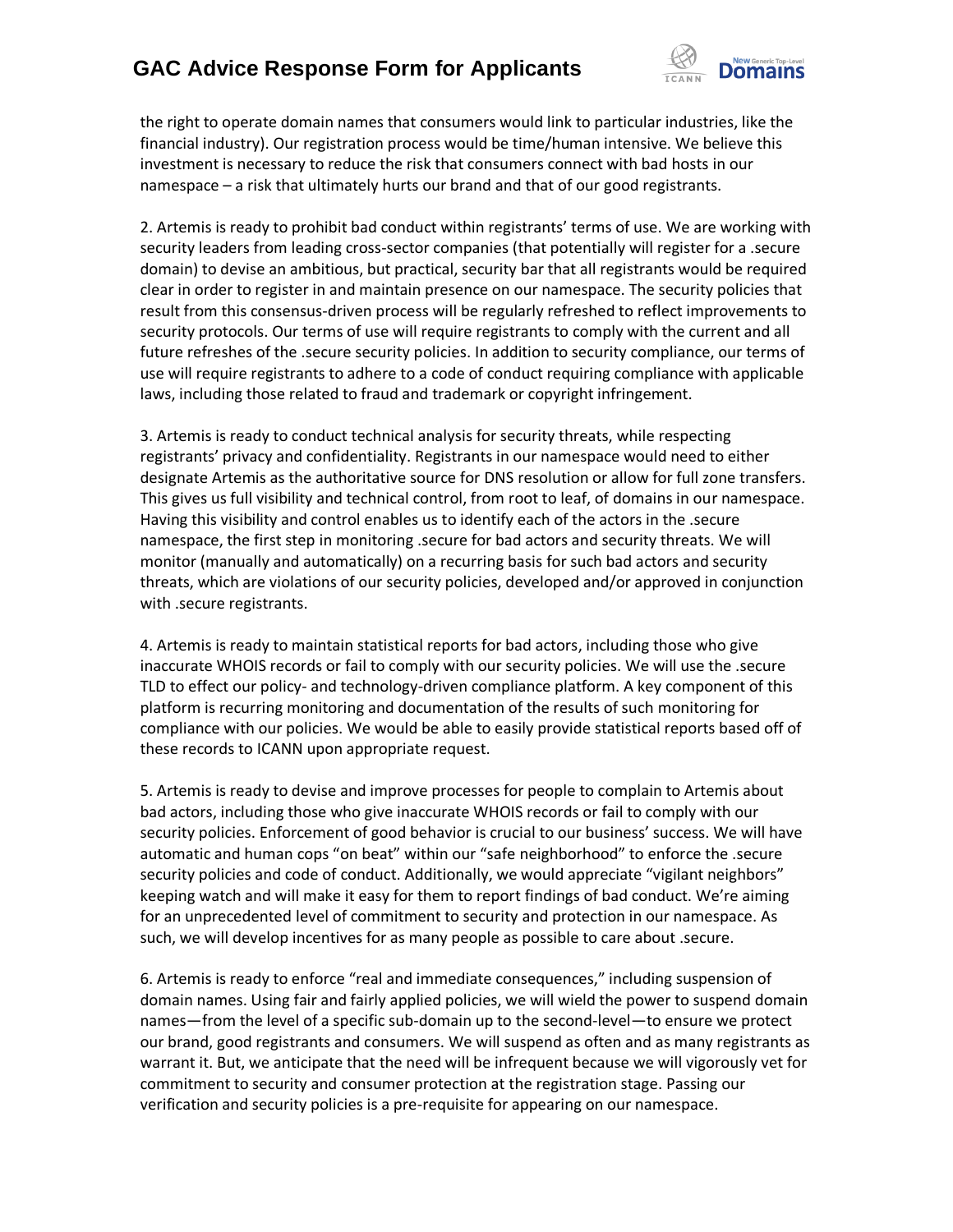## **GAC Advice Response Form for Applicants**



the right to operate domain names that consumers would link to particular industries, like the financial industry). Our registration process would be time/human intensive. We believe this investment is necessary to reduce the risk that consumers connect with bad hosts in our namespace – a risk that ultimately hurts our brand and that of our good registrants.

2. Artemis is ready to prohibit bad conduct within registrants' terms of use. We are working with security leaders from leading cross-sector companies (that potentially will register for a .secure domain) to devise an ambitious, but practical, security bar that all registrants would be required clear in order to register in and maintain presence on our namespace. The security policies that result from this consensus-driven process will be regularly refreshed to reflect improvements to security protocols. Our terms of use will require registrants to comply with the current and all future refreshes of the .secure security policies. In addition to security compliance, our terms of use will require registrants to adhere to a code of conduct requiring compliance with applicable laws, including those related to fraud and trademark or copyright infringement.

3. Artemis is ready to conduct technical analysis for security threats, while respecting registrants' privacy and confidentiality. Registrants in our namespace would need to either designate Artemis as the authoritative source for DNS resolution or allow for full zone transfers. This gives us full visibility and technical control, from root to leaf, of domains in our namespace. Having this visibility and control enables us to identify each of the actors in the .secure namespace, the first step in monitoring .secure for bad actors and security threats. We will monitor (manually and automatically) on a recurring basis for such bad actors and security threats, which are violations of our security policies, developed and/or approved in conjunction with .secure registrants.

4. Artemis is ready to maintain statistical reports for bad actors, including those who give inaccurate WHOIS records or fail to comply with our security policies. We will use the .secure TLD to effect our policy- and technology-driven compliance platform. A key component of this platform is recurring monitoring and documentation of the results of such monitoring for compliance with our policies. We would be able to easily provide statistical reports based off of these records to ICANN upon appropriate request.

5. Artemis is ready to devise and improve processes for people to complain to Artemis about bad actors, including those who give inaccurate WHOIS records or fail to comply with our security policies. Enforcement of good behavior is crucial to our business' success. We will have automatic and human cops "on beat" within our "safe neighborhood" to enforce the .secure security policies and code of conduct. Additionally, we would appreciate "vigilant neighbors" keeping watch and will make it easy for them to report findings of bad conduct. We're aiming for an unprecedented level of commitment to security and protection in our namespace. As such, we will develop incentives for as many people as possible to care about .secure.

6. Artemis is ready to enforce "real and immediate consequences," including suspension of domain names. Using fair and fairly applied policies, we will wield the power to suspend domain names—from the level of a specific sub-domain up to the second-level—to ensure we protect our brand, good registrants and consumers. We will suspend as often and as many registrants as warrant it. But, we anticipate that the need will be infrequent because we will vigorously vet for commitment to security and consumer protection at the registration stage. Passing our verification and security policies is a pre-requisite for appearing on our namespace.